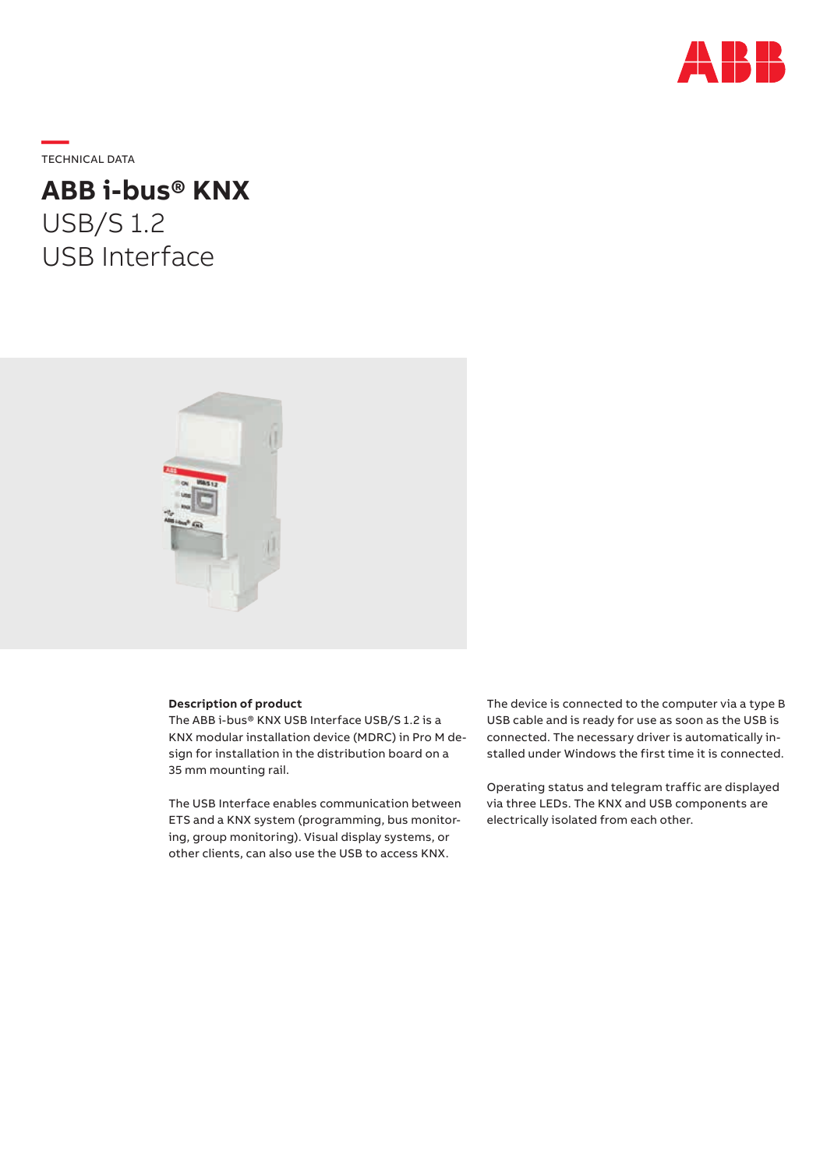

**—**  TECHNICAL DATA

**ABB i-bus® KNX** USB/S 1.2 USB Interface



#### **Description of product**

The ABB i-bus® KNX USB Interface USB/S 1.2 is a KNX modular installation device (MDRC) in Pro M design for installation in the distribution board on a 35 mm mounting rail.

The USB Interface enables communication between ETS and a KNX system (programming, bus monitoring, group monitoring). Visual display systems, or other clients, can also use the USB to access KNX.

The device is connected to the computer via a type B USB cable and is ready for use as soon as the USB is connected. The necessary driver is automatically installed under Windows the first time it is connected.

Operating status and telegram traffic are displayed via three LEDs. The KNX and USB components are electrically isolated from each other.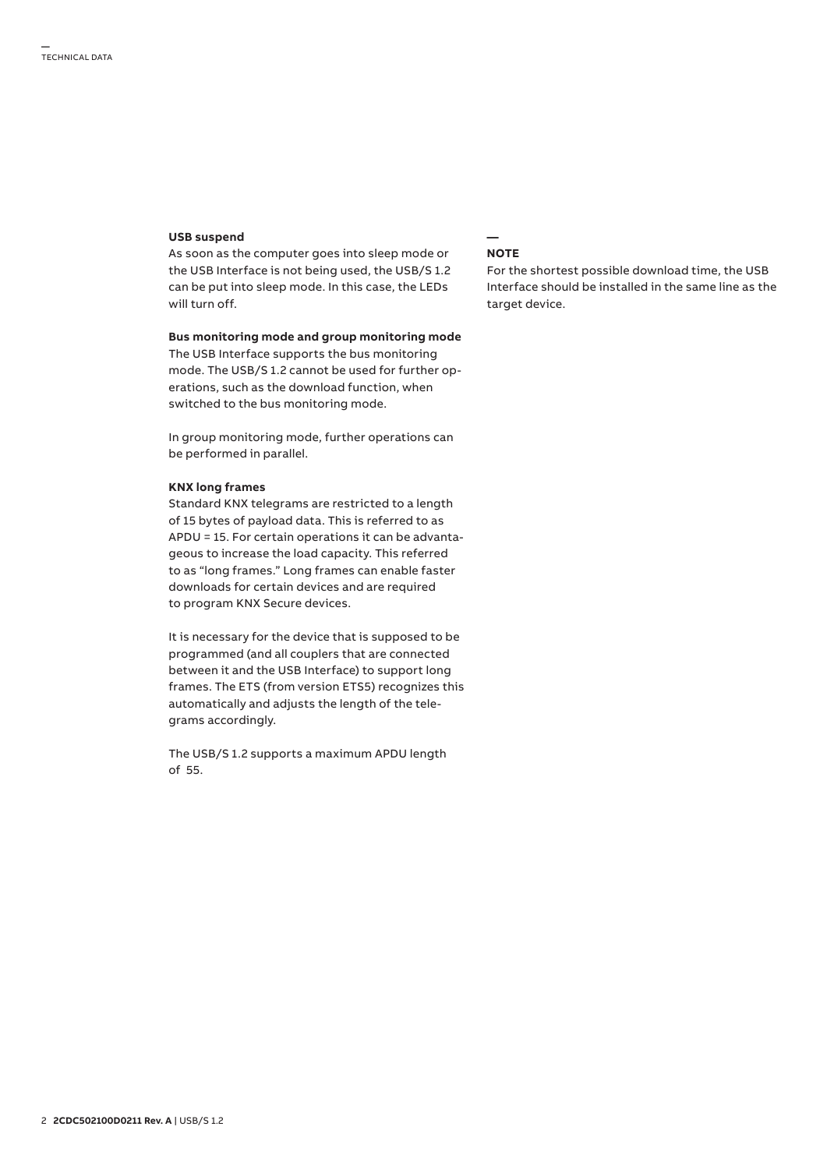#### **USB suspend**

As soon as the computer goes into sleep mode or the USB Interface is not being used, the USB/S 1.2 can be put into sleep mode. In this case, the LEDs will turn off.

**Bus monitoring mode and group monitoring mode** The USB Interface supports the bus monitoring mode. The USB/S 1.2 cannot be used for further operations, such as the download function, when switched to the bus monitoring mode.

In group monitoring mode, further operations can be performed in parallel.

### **KNX long frames**

Standard KNX telegrams are restricted to a length of 15 bytes of payload data. This is referred to as APDU = 15. For certain operations it can be advantageous to increase the load capacity. This referred to as "long frames." Long frames can enable faster downloads for certain devices and are required to program KNX Secure devices.

It is necessary for the device that is supposed to be programmed (and all couplers that are connected between it and the USB Interface) to support long frames. The ETS (from version ETS5) recognizes this automatically and adjusts the length of the telegrams accordingly.

The USB/S 1.2 supports a maximum APDU length of 55.

#### **— NOTE**

For the shortest possible download time, the USB Interface should be installed in the same line as the target device.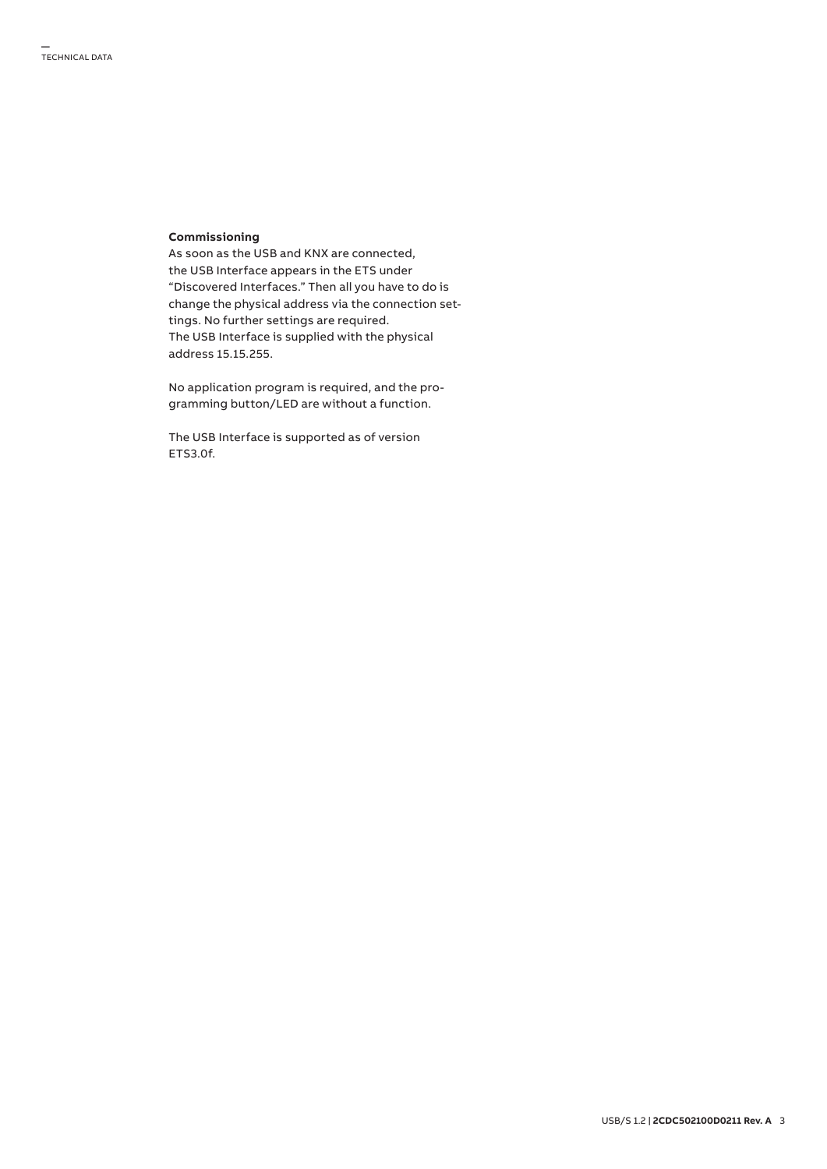## **Commissioning**

As soon as the USB and KNX are connected, the USB Interface appears in the ETS under "Discovered Interfaces." Then all you have to do is change the physical address via the connection settings. No further settings are required. The USB Interface is supplied with the physical address 15.15.255.

No application program is required, and the programming button/LED are without a function.

The USB Interface is supported as of version ETS3.0f.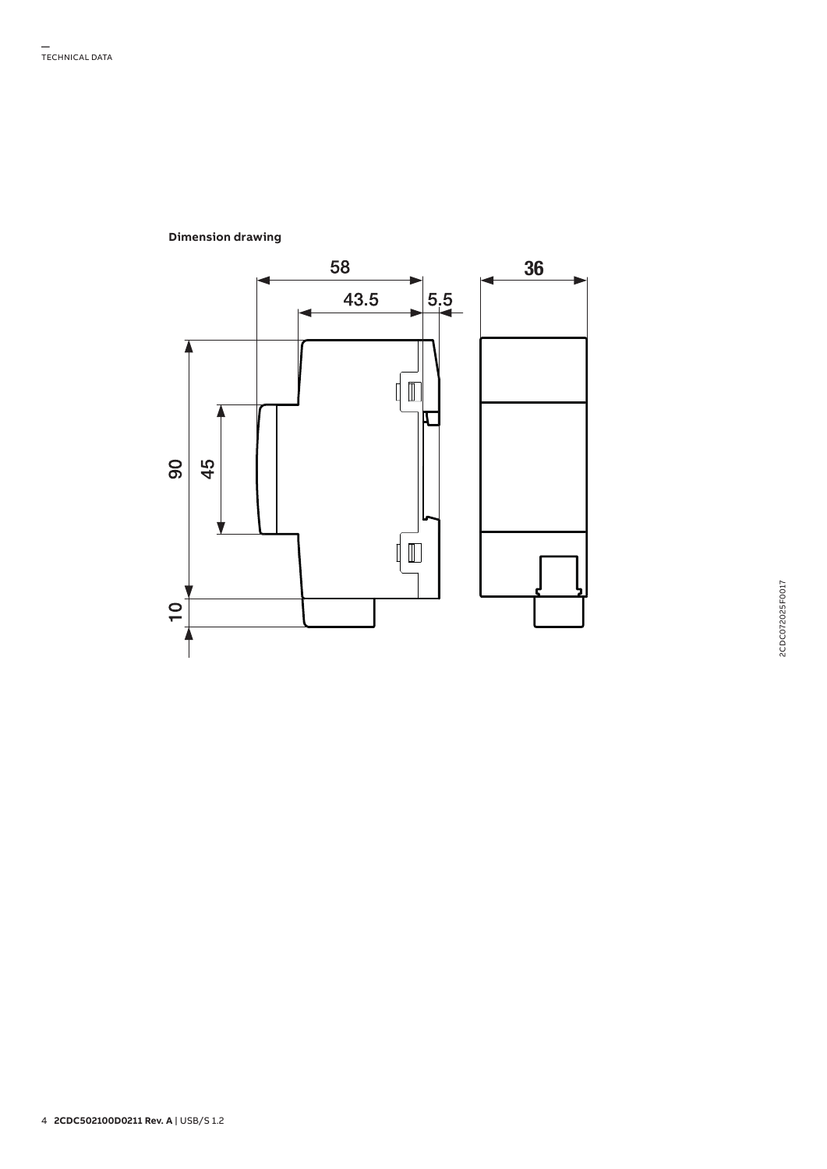

# **Dimension drawing**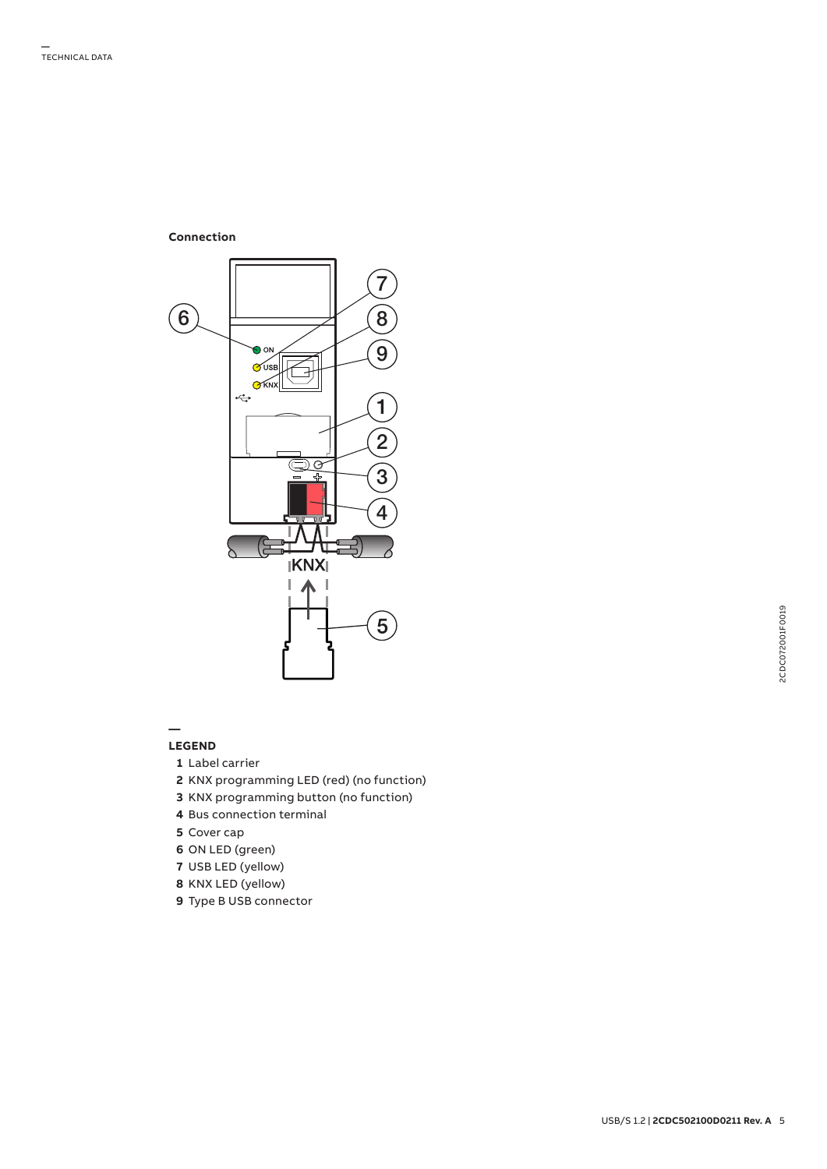**Connection**



**—**

# **LEGEND**

- Label carrier
- KNX programming LED (red) (no function)
- KNX programming button (no function)
- Bus connection terminal
- Cover cap
- ON LED (green)
- USB LED (yellow)
- KNX LED (yellow)
- Type B USB connector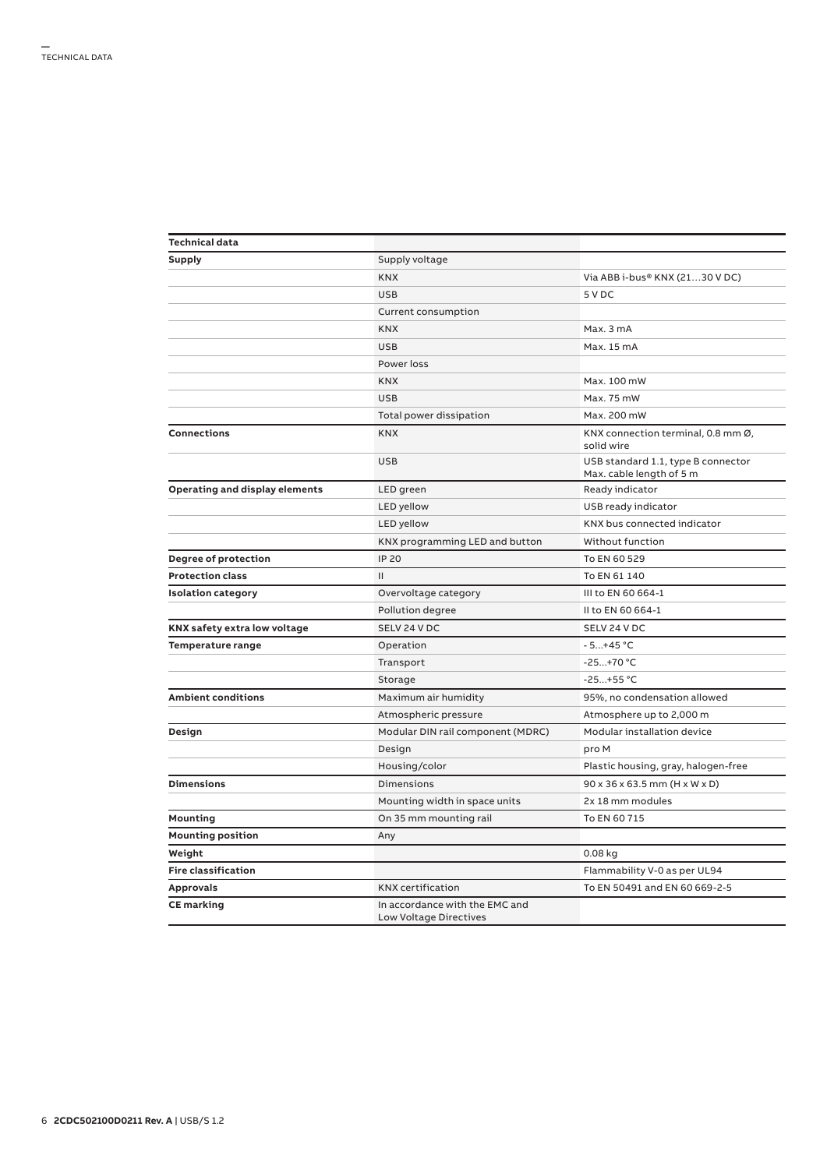| <b>Technical data</b>          |                                                                 |                                                                |  |  |
|--------------------------------|-----------------------------------------------------------------|----------------------------------------------------------------|--|--|
| Supply                         | Supply voltage                                                  |                                                                |  |  |
|                                | <b>KNX</b>                                                      | Via ABB i-bus® KNX (2130 VDC)                                  |  |  |
|                                | <b>USB</b>                                                      | 5 V DC                                                         |  |  |
|                                | Current consumption                                             |                                                                |  |  |
|                                | <b>KNX</b>                                                      | Max. 3 mA                                                      |  |  |
|                                | <b>USB</b>                                                      | Max. 15 mA                                                     |  |  |
|                                | Power loss                                                      |                                                                |  |  |
|                                | <b>KNX</b>                                                      | Max. 100 mW                                                    |  |  |
|                                | <b>USB</b>                                                      | Max. 75 mW                                                     |  |  |
|                                | Total power dissipation                                         | Max. 200 mW                                                    |  |  |
| <b>Connections</b>             | <b>KNX</b>                                                      | KNX connection terminal, 0.8 mm Ø,<br>solid wire               |  |  |
|                                | <b>USB</b>                                                      | USB standard 1.1, type B connector<br>Max. cable length of 5 m |  |  |
| Operating and display elements | LED green                                                       | Ready indicator                                                |  |  |
|                                | LED yellow                                                      | USB ready indicator                                            |  |  |
|                                | LED yellow                                                      | KNX bus connected indicator                                    |  |  |
|                                | KNX programming LED and button                                  | Without function                                               |  |  |
| Degree of protection           | <b>IP 20</b>                                                    | To EN 60 529                                                   |  |  |
| <b>Protection class</b>        | $\mathbf{H}$                                                    | To EN 61 140                                                   |  |  |
| <b>Isolation category</b>      | Overvoltage category                                            | III to EN 60 664-1                                             |  |  |
|                                | Pollution degree                                                | II to EN 60 664-1                                              |  |  |
| KNX safety extra low voltage   | SELV 24 V DC                                                    | SELV 24 V DC                                                   |  |  |
| Temperature range              | Operation                                                       | $-5+45 °C$                                                     |  |  |
|                                | Transport                                                       | $-25+70 °C$                                                    |  |  |
|                                | Storage                                                         | $-25+55 °C$                                                    |  |  |
| <b>Ambient conditions</b>      | Maximum air humidity                                            | 95%, no condensation allowed                                   |  |  |
|                                | Atmospheric pressure                                            | Atmosphere up to 2,000 m                                       |  |  |
| Design                         | Modular DIN rail component (MDRC)                               | Modular installation device                                    |  |  |
|                                | Design                                                          | pro M                                                          |  |  |
|                                | Housing/color                                                   | Plastic housing, gray, halogen-free                            |  |  |
| <b>Dimensions</b>              | Dimensions                                                      | $90 \times 36 \times 63.5$ mm (H x W x D)                      |  |  |
|                                | Mounting width in space units                                   | 2x 18 mm modules                                               |  |  |
| Mounting                       | On 35 mm mounting rail                                          | To EN 60 715                                                   |  |  |
| <b>Mounting position</b>       | Any                                                             |                                                                |  |  |
| Weight                         |                                                                 | 0.08 kg                                                        |  |  |
| <b>Fire classification</b>     |                                                                 | Flammability V-0 as per UL94                                   |  |  |
| <b>Approvals</b>               | <b>KNX</b> certification                                        | To EN 50491 and EN 60 669-2-5                                  |  |  |
| <b>CE</b> marking              | In accordance with the EMC and<br><b>Low Voltage Directives</b> |                                                                |  |  |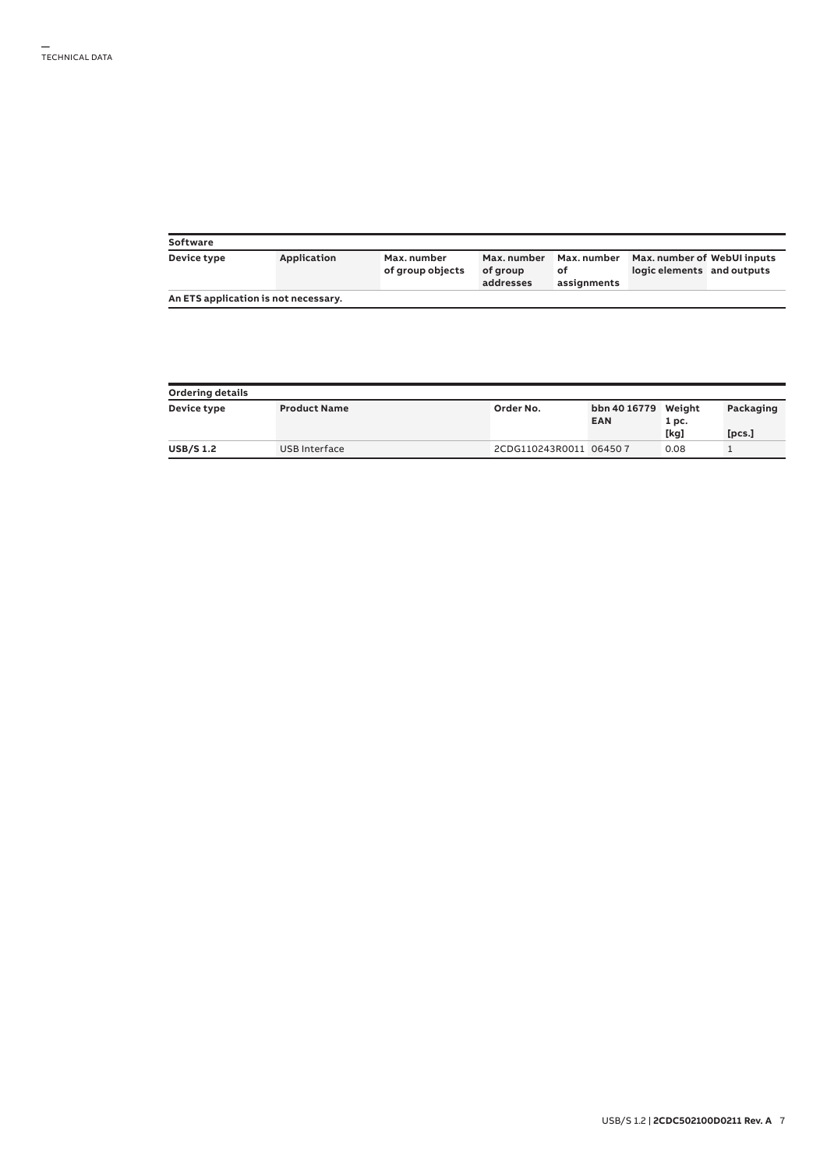| Software                             |             |                                 |                                      |                                          |                                                           |  |
|--------------------------------------|-------------|---------------------------------|--------------------------------------|------------------------------------------|-----------------------------------------------------------|--|
| Device type                          | Application | Max. number<br>of group objects | Max. number<br>of group<br>addresses | <b>Max.</b> number<br>of.<br>assignments | Max. number of WebUI inputs<br>logic elements and outputs |  |
| An ETS application is not necessary. |             |                                 |                                      |                                          |                                                           |  |

| <b>Ordering details</b> |                     |                        |                                   |       |           |  |  |  |
|-------------------------|---------------------|------------------------|-----------------------------------|-------|-----------|--|--|--|
| Device type             | <b>Product Name</b> | Order No.              | bbn 40 16779 Weight<br><b>EAN</b> | 1 pc. | Packaging |  |  |  |
|                         |                     |                        |                                   | [kg]  | [pcs.]    |  |  |  |
| <b>USB/S1.2</b>         | USB Interface       | 2CDG110243R0011 064507 |                                   | 0.08  |           |  |  |  |